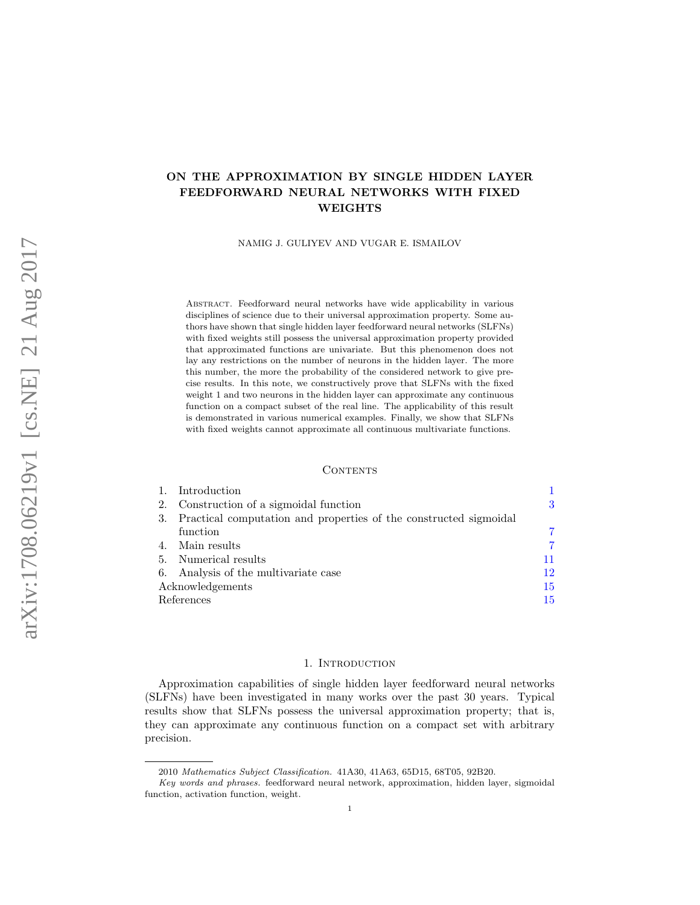# ON THE APPROXIMATION BY SINGLE HIDDEN LAYER FEEDFORWARD NEURAL NETWORKS WITH FIXED WEIGHTS

NAMIG J. GULIYEV AND VUGAR E. ISMAILOV

Abstract. Feedforward neural networks have wide applicability in various disciplines of science due to their universal approximation property. Some authors have shown that single hidden layer feedforward neural networks (SLFNs) with fixed weights still possess the universal approximation property provided that approximated functions are univariate. But this phenomenon does not lay any restrictions on the number of neurons in the hidden layer. The more this number, the more the probability of the considered network to give precise results. In this note, we constructively prove that SLFNs with the fixed weight 1 and two neurons in the hidden layer can approximate any continuous function on a compact subset of the real line. The applicability of this result is demonstrated in various numerical examples. Finally, we show that SLFNs with fixed weights cannot approximate all continuous multivariate functions.

### CONTENTS

|    | Introduction                                                         |     |
|----|----------------------------------------------------------------------|-----|
| 2. | Construction of a sigmoidal function                                 | 3   |
|    | 3. Practical computation and properties of the constructed sigmoidal |     |
|    | function                                                             |     |
|    | 4. Main results                                                      | 7   |
|    | 5. Numerical results                                                 | 11  |
|    | 6. Analysis of the multivariate case                                 | 12  |
|    | Acknowledgements                                                     | 15  |
|    | References                                                           | 15. |

#### 1. INTRODUCTION

<span id="page-0-0"></span>Approximation capabilities of single hidden layer feedforward neural networks (SLFNs) have been investigated in many works over the past 30 years. Typical results show that SLFNs possess the universal approximation property; that is, they can approximate any continuous function on a compact set with arbitrary precision.

<sup>2010</sup> Mathematics Subject Classification. 41A30, 41A63, 65D15, 68T05, 92B20.

Key words and phrases. feedforward neural network, approximation, hidden layer, sigmoidal function, activation function, weight.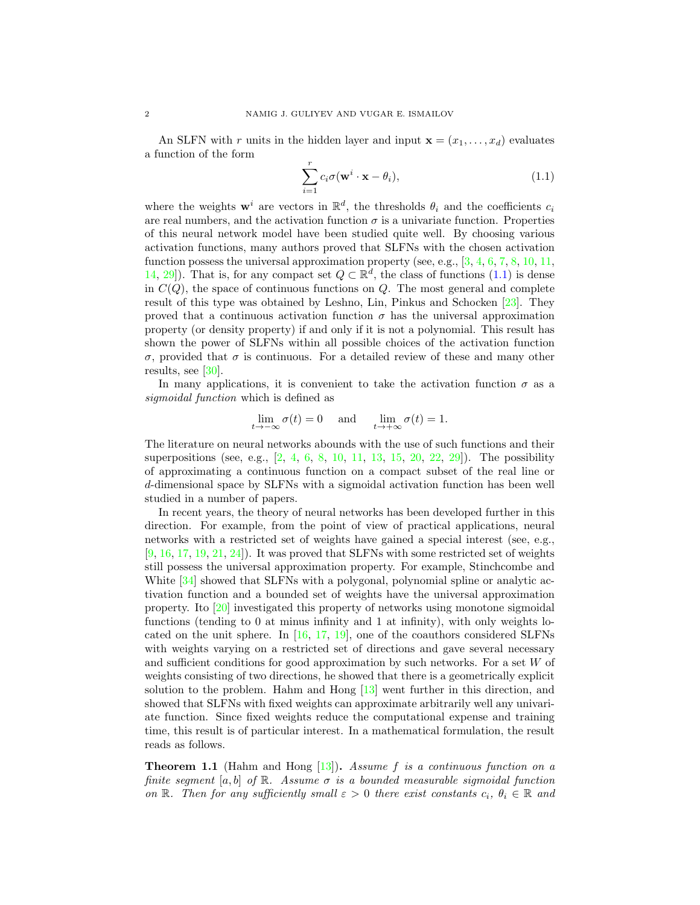An SLFN with r units in the hidden layer and input  $\mathbf{x} = (x_1, \ldots, x_d)$  evaluates a function of the form

<span id="page-1-0"></span>
$$
\sum_{i=1}^{r} c_i \sigma(\mathbf{w}^i \cdot \mathbf{x} - \theta_i),
$$
\n(1.1)

where the weights  $\mathbf{w}^i$  are vectors in  $\mathbb{R}^d$ , the thresholds  $\theta_i$  and the coefficients  $c_i$ are real numbers, and the activation function  $\sigma$  is a univariate function. Properties of this neural network model have been studied quite well. By choosing various activation functions, many authors proved that SLFNs with the chosen activation function possess the universal approximation property (see, e.g.,  $[3, 4, 6, 7, 8, 10, 11,$  $[3, 4, 6, 7, 8, 10, 11,$  $[3, 4, 6, 7, 8, 10, 11,$  $[3, 4, 6, 7, 8, 10, 11,$  $[3, 4, 6, 7, 8, 10, 11,$  $[3, 4, 6, 7, 8, 10, 11,$  $[3, 4, 6, 7, 8, 10, 11,$  $[3, 4, 6, 7, 8, 10, 11,$  $[3, 4, 6, 7, 8, 10, 11,$  $[3, 4, 6, 7, 8, 10, 11,$  $[3, 4, 6, 7, 8, 10, 11,$  $[3, 4, 6, 7, 8, 10, 11,$  $[3, 4, 6, 7, 8, 10, 11,$ [14,](#page-15-6) [29\]](#page-15-7)). That is, for any compact set  $Q \subset \mathbb{R}^d$ , the class of functions [\(1.1\)](#page-1-0) is dense in  $C(Q)$ , the space of continuous functions on  $Q$ . The most general and complete result of this type was obtained by Leshno, Lin, Pinkus and Schocken [\[23\]](#page-15-8). They proved that a continuous activation function  $\sigma$  has the universal approximation property (or density property) if and only if it is not a polynomial. This result has shown the power of SLFNs within all possible choices of the activation function σ, provided that σ is continuous. For a detailed review of these and many other results, see [\[30\]](#page-15-9).

In many applications, it is convenient to take the activation function  $\sigma$  as a sigmoidal function which is defined as

$$
\lim_{t \to -\infty} \sigma(t) = 0 \quad \text{and} \quad \lim_{t \to +\infty} \sigma(t) = 1.
$$

The literature on neural networks abounds with the use of such functions and their superpositions (see, e.g.,  $[2, 4, 6, 8, 10, 11, 13, 15, 20, 22, 29]$  $[2, 4, 6, 8, 10, 11, 13, 15, 20, 22, 29]$  $[2, 4, 6, 8, 10, 11, 13, 15, 20, 22, 29]$  $[2, 4, 6, 8, 10, 11, 13, 15, 20, 22, 29]$  $[2, 4, 6, 8, 10, 11, 13, 15, 20, 22, 29]$  $[2, 4, 6, 8, 10, 11, 13, 15, 20, 22, 29]$  $[2, 4, 6, 8, 10, 11, 13, 15, 20, 22, 29]$  $[2, 4, 6, 8, 10, 11, 13, 15, 20, 22, 29]$  $[2, 4, 6, 8, 10, 11, 13, 15, 20, 22, 29]$  $[2, 4, 6, 8, 10, 11, 13, 15, 20, 22, 29]$  $[2, 4, 6, 8, 10, 11, 13, 15, 20, 22, 29]$  $[2, 4, 6, 8, 10, 11, 13, 15, 20, 22, 29]$  $[2, 4, 6, 8, 10, 11, 13, 15, 20, 22, 29]$  $[2, 4, 6, 8, 10, 11, 13, 15, 20, 22, 29]$  $[2, 4, 6, 8, 10, 11, 13, 15, 20, 22, 29]$  $[2, 4, 6, 8, 10, 11, 13, 15, 20, 22, 29]$  $[2, 4, 6, 8, 10, 11, 13, 15, 20, 22, 29]$  $[2, 4, 6, 8, 10, 11, 13, 15, 20, 22, 29]$  $[2, 4, 6, 8, 10, 11, 13, 15, 20, 22, 29]$  $[2, 4, 6, 8, 10, 11, 13, 15, 20, 22, 29]$  $[2, 4, 6, 8, 10, 11, 13, 15, 20, 22, 29]$ ). The possibility of approximating a continuous function on a compact subset of the real line or d-dimensional space by SLFNs with a sigmoidal activation function has been well studied in a number of papers.

In recent years, the theory of neural networks has been developed further in this direction. For example, from the point of view of practical applications, neural networks with a restricted set of weights have gained a special interest (see, e.g.,  $[9, 16, 17, 19, 21, 24]$  $[9, 16, 17, 19, 21, 24]$  $[9, 16, 17, 19, 21, 24]$  $[9, 16, 17, 19, 21, 24]$  $[9, 16, 17, 19, 21, 24]$  $[9, 16, 17, 19, 21, 24]$  $[9, 16, 17, 19, 21, 24]$  $[9, 16, 17, 19, 21, 24]$  $[9, 16, 17, 19, 21, 24]$  $[9, 16, 17, 19, 21, 24]$  $[9, 16, 17, 19, 21, 24]$ . It was proved that SLFNs with some restricted set of weights still possess the universal approximation property. For example, Stinchcombe and White  $[34]$  showed that SLFNs with a polygonal, polynomial spline or analytic activation function and a bounded set of weights have the universal approximation property. Ito [\[20\]](#page-15-12) investigated this property of networks using monotone sigmoidal functions (tending to 0 at minus infinity and 1 at infinity), with only weights located on the unit sphere. In  $[16, 17, 19]$  $[16, 17, 19]$  $[16, 17, 19]$  $[16, 17, 19]$  $[16, 17, 19]$ , one of the coauthors considered SLFNs with weights varying on a restricted set of directions and gave several necessary and sufficient conditions for good approximation by such networks. For a set W of weights consisting of two directions, he showed that there is a geometrically explicit solution to the problem. Hahm and Hong [\[13\]](#page-15-10) went further in this direction, and showed that SLFNs with fixed weights can approximate arbitrarily well any univariate function. Since fixed weights reduce the computational expense and training time, this result is of particular interest. In a mathematical formulation, the result reads as follows.

<span id="page-1-1"></span>**Theorem 1.1** (Hahm and Hong  $[13]$ ). Assume f is a continuous function on a finite segment [a, b] of  $\mathbb R$ . Assume  $\sigma$  is a bounded measurable sigmoidal function on R. Then for any sufficiently small  $\varepsilon > 0$  there exist constants  $c_i, \theta_i \in \mathbb{R}$  and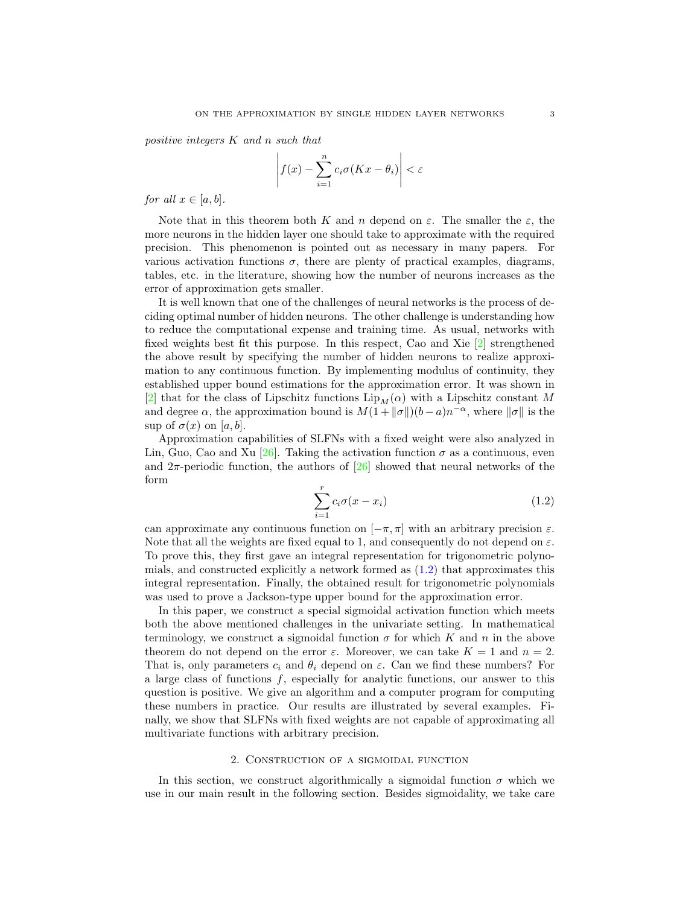positive integers K and n such that

$$
\left| f(x) - \sum_{i=1}^{n} c_i \sigma(Kx - \theta_i) \right| < \varepsilon
$$

for all  $x \in [a, b]$ .

Note that in this theorem both K and n depend on  $\varepsilon$ . The smaller the  $\varepsilon$ , the more neurons in the hidden layer one should take to approximate with the required precision. This phenomenon is pointed out as necessary in many papers. For various activation functions  $\sigma$ , there are plenty of practical examples, diagrams, tables, etc. in the literature, showing how the number of neurons increases as the error of approximation gets smaller.

It is well known that one of the challenges of neural networks is the process of deciding optimal number of hidden neurons. The other challenge is understanding how to reduce the computational expense and training time. As usual, networks with fixed weights best fit this purpose. In this respect, Cao and Xie [\[2\]](#page-14-3) strengthened the above result by specifying the number of hidden neurons to realize approximation to any continuous function. By implementing modulus of continuity, they established upper bound estimations for the approximation error. It was shown in [\[2\]](#page-14-3) that for the class of Lipschitz functions  $\text{Lip}_M(\alpha)$  with a Lipschitz constant M and degree  $\alpha$ , the approximation bound is  $M(1+\|\sigma\|)(b-a)n^{-\alpha}$ , where  $\|\sigma\|$  is the sup of  $\sigma(x)$  on [a, b].

Approximation capabilities of SLFNs with a fixed weight were also analyzed in Lin, Guo, Cao and Xu [\[26\]](#page-15-20). Taking the activation function  $\sigma$  as a continuous, even and  $2\pi$ -periodic function, the authors of [\[26\]](#page-15-20) showed that neural networks of the form

<span id="page-2-1"></span>
$$
\sum_{i=1}^{r} c_i \sigma(x - x_i) \tag{1.2}
$$

can approximate any continuous function on  $[-\pi, \pi]$  with an arbitrary precision  $\varepsilon$ . Note that all the weights are fixed equal to 1, and consequently do not depend on  $\varepsilon$ . To prove this, they first gave an integral representation for trigonometric polynomials, and constructed explicitly a network formed as  $(1.2)$  that approximates this integral representation. Finally, the obtained result for trigonometric polynomials was used to prove a Jackson-type upper bound for the approximation error.

In this paper, we construct a special sigmoidal activation function which meets both the above mentioned challenges in the univariate setting. In mathematical terminology, we construct a sigmoidal function  $\sigma$  for which K and n in the above theorem do not depend on the error  $\varepsilon$ . Moreover, we can take  $K = 1$  and  $n = 2$ . That is, only parameters  $c_i$  and  $\theta_i$  depend on  $\varepsilon$ . Can we find these numbers? For a large class of functions  $f$ , especially for analytic functions, our answer to this question is positive. We give an algorithm and a computer program for computing these numbers in practice. Our results are illustrated by several examples. Finally, we show that SLFNs with fixed weights are not capable of approximating all multivariate functions with arbitrary precision.

## 2. Construction of a sigmoidal function

<span id="page-2-0"></span>In this section, we construct algorithmically a sigmoidal function  $\sigma$  which we use in our main result in the following section. Besides sigmoidality, we take care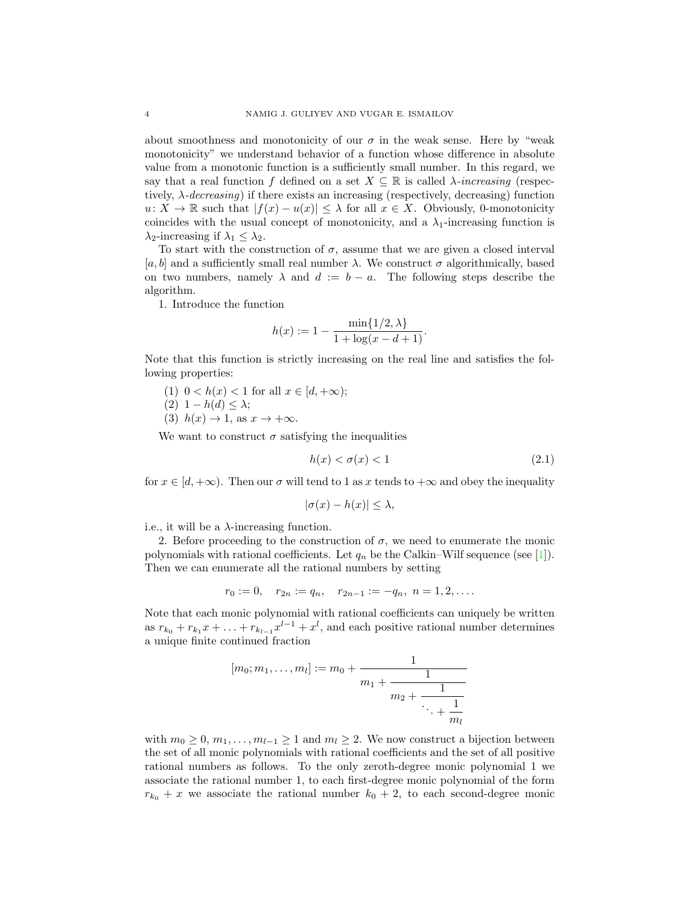about smoothness and monotonicity of our  $\sigma$  in the weak sense. Here by "weak monotonicity" we understand behavior of a function whose difference in absolute value from a monotonic function is a sufficiently small number. In this regard, we say that a real function f defined on a set  $X \subseteq \mathbb{R}$  is called  $\lambda$ -increasing (respectively,  $\lambda$ -decreasing) if there exists an increasing (respectively, decreasing) function  $u: X \to \mathbb{R}$  such that  $|f(x) - u(x)| \leq \lambda$  for all  $x \in X$ . Obviously, 0-monotonicity coincides with the usual concept of monotonicity, and a  $\lambda_1$ -increasing function is  $\lambda_2$ -increasing if  $\lambda_1 \leq \lambda_2$ .

To start with the construction of  $\sigma$ , assume that we are given a closed interval [a, b] and a sufficiently small real number  $\lambda$ . We construct  $\sigma$  algorithmically, based on two numbers, namely  $\lambda$  and  $d := b - a$ . The following steps describe the algorithm.

1. Introduce the function

$$
h(x) := 1 - \frac{\min\{1/2, \lambda\}}{1 + \log(x - d + 1)}.
$$

Note that this function is strictly increasing on the real line and satisfies the following properties:

(1)  $0 < h(x) < 1$  for all  $x \in [d, +\infty)$ ; (2)  $1 - h(d) \leq \lambda$ ; (3)  $h(x) \rightarrow 1$ , as  $x \rightarrow +\infty$ .

We want to construct  $\sigma$  satisfying the inequalities

<span id="page-3-0"></span>
$$
h(x) < \sigma(x) < 1\tag{2.1}
$$

for  $x \in [d, +\infty)$ . Then our  $\sigma$  will tend to 1 as x tends to  $+\infty$  and obey the inequality

$$
|\sigma(x) - h(x)| \le \lambda,
$$

i.e., it will be a  $\lambda$ -increasing function.

2. Before proceeding to the construction of  $\sigma$ , we need to enumerate the monic polynomials with rational coefficients. Let  $q_n$  be the Calkin–Wilf sequence (see [\[1\]](#page-14-4)). Then we can enumerate all the rational numbers by setting

$$
r_0 := 0, \quad r_{2n} := q_n, \quad r_{2n-1} := -q_n, \ n = 1, 2, \dots.
$$

Note that each monic polynomial with rational coefficients can uniquely be written as  $r_{k_0} + r_{k_1}x + \ldots + r_{k_{l-1}}x^{l-1} + x^l$ , and each positive rational number determines a unique finite continued fraction

$$
[m_0; m_1, \dots, m_l] := m_0 + \cfrac{1}{m_1 + \cfrac{1}{m_2 + \cfrac{1}{\ddots + \cfrac{1}{m_l}}}}
$$

with  $m_0 \geq 0, m_1, \ldots, m_{l-1} \geq 1$  and  $m_l \geq 2$ . We now construct a bijection between the set of all monic polynomials with rational coefficients and the set of all positive rational numbers as follows. To the only zeroth-degree monic polynomial 1 we associate the rational number 1, to each first-degree monic polynomial of the form  $r_{k_0} + x$  we associate the rational number  $k_0 + 2$ , to each second-degree monic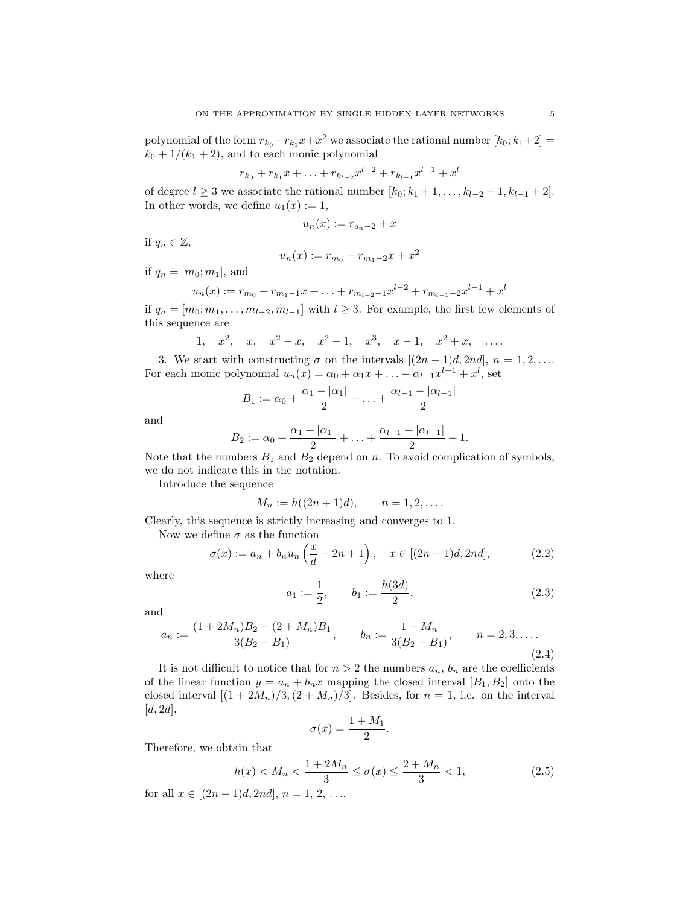polynomial of the form  $r_{k_0}+r_{k_1}x+x^2$  we associate the rational number  $[k_0; k_1+2] =$  $k_0 + 1/(k_1 + 2)$ , and to each monic polynomial

$$
r_{k_0} + r_{k_1}x + \ldots + r_{k_{l-2}}x^{l-2} + r_{k_{l-1}}x^{l-1} + x^l
$$

of degree  $l \geq 3$  we associate the rational number  $[k_0; k_1 + 1, \ldots, k_{l-2} + 1, k_{l-1} + 2]$ . In other words, we define  $u_1(x) := 1$ ,

$$
u_n(x) := r_{q_n-2} + x
$$

if  $q_n \in \mathbb{Z}$ ,

$$
u_n(x) := r_{m_0} + r_{m_1 - 2}x + x^2
$$

if  $q_n = [m_0; m_1]$ , and

$$
u_n(x) := r_{m_0} + r_{m_1-1}x + \ldots + r_{m_{l-2}-1}x^{l-2} + r_{m_{l-1}-2}x^{l-1} + x^l
$$

if  $q_n = [m_0; m_1, \ldots, m_{l-2}, m_{l-1}]$  with  $l \geq 3$ . For example, the first few elements of this sequence are

1, 
$$
x^2
$$
,  $x$ ,  $x^2 - x$ ,  $x^2 - 1$ ,  $x^3$ ,  $x - 1$ ,  $x^2 + x$ , ...

3. We start with constructing  $\sigma$  on the intervals  $[(2n-1)d, 2nd]$ ,  $n = 1, 2, \ldots$ For each monic polynomial  $u_n(x) = \alpha_0 + \alpha_1 x + \ldots + \alpha_{l-1} x^{l-1} + x^l$ , set

$$
B_1 := \alpha_0 + \frac{\alpha_1 - |\alpha_1|}{2} + \ldots + \frac{\alpha_{l-1} - |\alpha_{l-1}|}{2}
$$

and

$$
B_2 := \alpha_0 + \frac{\alpha_1 + |\alpha_1|}{2} + \ldots + \frac{\alpha_{l-1} + |\alpha_{l-1}|}{2} + 1.
$$

Note that the numbers  $B_1$  and  $B_2$  depend on n. To avoid complication of symbols, we do not indicate this in the notation.

Introduce the sequence

$$
M_n := h((2n+1)d), \qquad n = 1, 2, \ldots.
$$

Clearly, this sequence is strictly increasing and converges to 1.

Now we define  $\sigma$  as the function

<span id="page-4-0"></span>
$$
\sigma(x) := a_n + b_n u_n \left(\frac{x}{d} - 2n + 1\right), \quad x \in [(2n - 1)d, 2nd],
$$
 (2.2)

where

<span id="page-4-2"></span>
$$
a_1 := \frac{1}{2}, \qquad b_1 := \frac{h(3d)}{2}, \tag{2.3}
$$

and

<span id="page-4-3"></span>
$$
a_n := \frac{(1+2M_n)B_2 - (2+M_n)B_1}{3(B_2 - B_1)}, \qquad b_n := \frac{1-M_n}{3(B_2 - B_1)}, \qquad n = 2, 3, ....
$$
\n(2.4)

It is not difficult to notice that for  $n > 2$  the numbers  $a_n$ ,  $b_n$  are the coefficients of the linear function  $y = a_n + b_n x$  mapping the closed interval  $[B_1, B_2]$  onto the closed interval  $[(1+2M_n)/3,(2+M_n)/3]$ . Besides, for  $n=1$ , i.e. on the interval  $[d, 2d],$ 

$$
\sigma(x) = \frac{1 + M_1}{2}.
$$

Therefore, we obtain that

<span id="page-4-1"></span>
$$
h(x) < M_n < \frac{1 + 2M_n}{3} \le \sigma(x) \le \frac{2 + M_n}{3} < 1,\tag{2.5}
$$

for all  $x \in [(2n-1)d, 2nd]$ ,  $n = 1, 2, ...$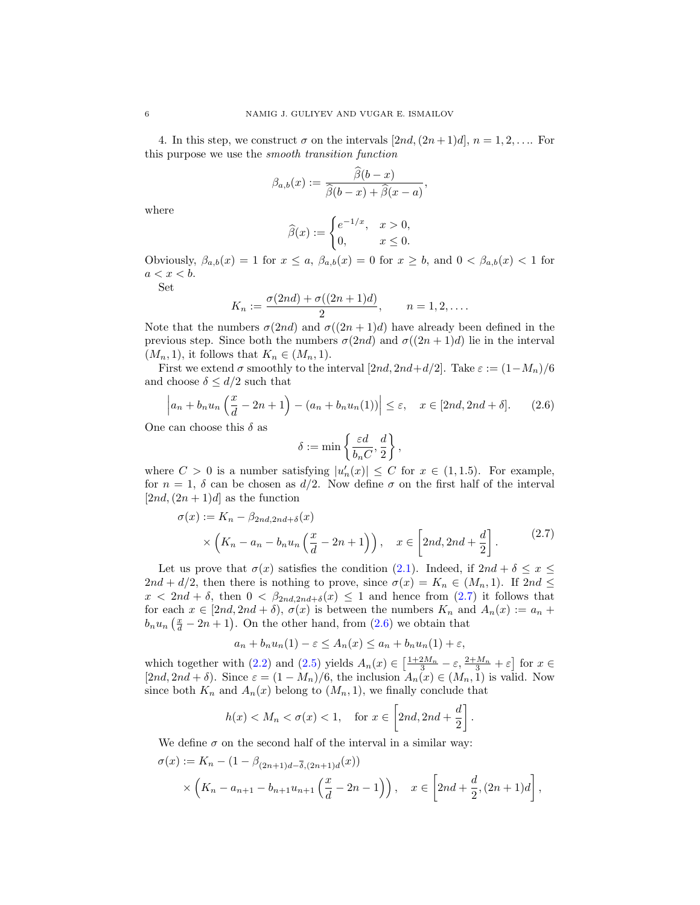4. In this step, we construct  $\sigma$  on the intervals  $[2nd,(2n+1)d]$ ,  $n=1,2,...$  For this purpose we use the smooth transition function

$$
\beta_{a,b}(x) := \frac{\widehat{\beta}(b-x)}{\widehat{\beta}(b-x) + \widehat{\beta}(x-a)},
$$

where

$$
\widehat{\beta}(x) := \begin{cases} e^{-1/x}, & x > 0, \\ 0, & x \le 0. \end{cases}
$$

Obviously,  $\beta_{a,b}(x) = 1$  for  $x \le a$ ,  $\beta_{a,b}(x) = 0$  for  $x \ge b$ , and  $0 < \beta_{a,b}(x) < 1$  for  $a < x < b$ .

Set

$$
K_n := \frac{\sigma(2nd) + \sigma((2n+1)d)}{2}, \qquad n = 1, 2, ....
$$

Note that the numbers  $\sigma(2nd)$  and  $\sigma((2n+1)d)$  have already been defined in the previous step. Since both the numbers  $\sigma(2nd)$  and  $\sigma((2n+1)d)$  lie in the interval  $(M_n, 1)$ , it follows that  $K_n \in (M_n, 1)$ .

First we extend  $\sigma$  smoothly to the interval [2nd, 2nd+d/2]. Take  $\varepsilon := (1-M_n)/6$ and choose  $\delta \leq d/2$  such that

<span id="page-5-1"></span>
$$
\left| a_n + b_n u_n \left( \frac{x}{d} - 2n + 1 \right) - (a_n + b_n u_n(1)) \right| \le \varepsilon, \quad x \in [2nd, 2nd + \delta]. \tag{2.6}
$$

One can choose this  $\delta$  as

$$
\delta := \min \left\{ \frac{\varepsilon d}{b_n C}, \frac{d}{2} \right\},\,
$$

where  $C > 0$  is a number satisfying  $|u'_n(x)| \leq C$  for  $x \in (1, 1.5)$ . For example, for  $n = 1$ ,  $\delta$  can be chosen as  $d/2$ . Now define  $\sigma$  on the first half of the interval  $[2nd,(2n+1)d]$  as the function

<span id="page-5-0"></span>
$$
\sigma(x) := K_n - \beta_{2nd, 2nd + \delta}(x)
$$
  
\$\times \left( K\_n - a\_n - b\_n u\_n \left( \frac{x}{d} - 2n + 1 \right) \right), \quad x \in \left[ 2nd, 2nd + \frac{d}{2} \right].\$ (2.7)

Let us prove that  $\sigma(x)$  satisfies the condition [\(2.1\)](#page-3-0). Indeed, if  $2nd + \delta \leq x \leq$  $2nd + d/2$ , then there is nothing to prove, since  $\sigma(x) = K_n \in (M_n, 1)$ . If  $2nd \leq$  $x < 2nd + \delta$ , then  $0 < \beta_{2nd, 2nd + \delta}(x) \leq 1$  and hence from  $(2.7)$  it follows that for each  $x \in [2nd, 2nd + \delta), \sigma(x)$  is between the numbers  $K_n$  and  $A_n(x) := a_n + \delta$  $b_n u_n \left(\frac{x}{d} - 2n + 1\right)$ . On the other hand, from [\(2.6\)](#page-5-1) we obtain that

$$
a_n + b_n u_n(1) - \varepsilon \le A_n(x) \le a_n + b_n u_n(1) + \varepsilon,
$$

which together with [\(2.2\)](#page-4-0) and [\(2.5\)](#page-4-1) yields  $A_n(x) \in \left[\frac{1+2M_n}{3} - \varepsilon, \frac{2+M_n}{3} + \varepsilon\right]$  for  $x \in$  $[2nd, 2nd + \delta)$ . Since  $\varepsilon = (1 - M_n)/6$ , the inclusion  $A_n(x) \in (M_n, 1)$  is valid. Now since both  $K_n$  and  $A_n(x)$  belong to  $(M_n, 1)$ , we finally conclude that

$$
h(x) < M_n < \sigma(x) < 1, \quad \text{for } x \in \left[2nd, 2nd + \frac{d}{2}\right].
$$

We define  $\sigma$  on the second half of the interval in a similar way:

$$
\sigma(x) := K_n - (1 - \beta_{(2n+1)d} - \overline{\delta}, (2n+1)d(x))
$$
  
\$\times \left(K\_n - a\_{n+1} - b\_{n+1}u\_{n+1} \left(\frac{x}{d} - 2n - 1\right)\right), \quad x \in \left[2nd + \frac{d}{2}, (2n+1)d\right],\$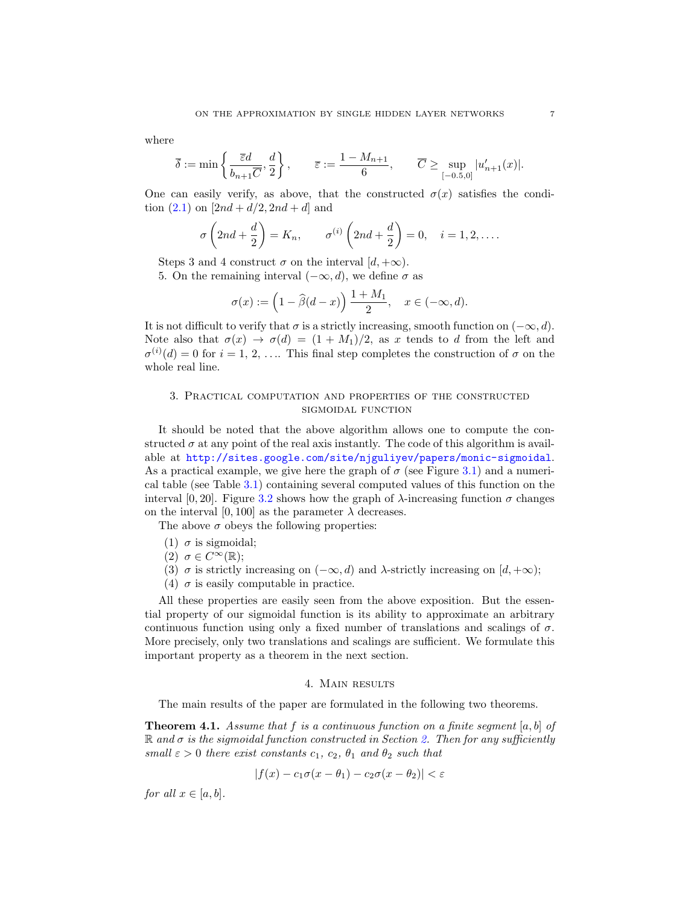where

$$
\overline{\delta} := \min\left\{\frac{\overline{\varepsilon}d}{b_{n+1}\overline{C}}, \frac{d}{2}\right\}, \qquad \overline{\varepsilon} := \frac{1 - M_{n+1}}{6}, \qquad \overline{C} \ge \sup_{[-0.5,0]} |u'_{n+1}(x)|.
$$

One can easily verify, as above, that the constructed  $\sigma(x)$  satisfies the condition  $(2.1)$  on  $[2nd + d/2, 2nd + d]$  and

$$
\sigma\left(2nd+\frac{d}{2}\right)=K_n,\qquad \sigma^{(i)}\left(2nd+\frac{d}{2}\right)=0,\quad i=1,2,\ldots.
$$

Steps 3 and 4 construct  $\sigma$  on the interval  $[d, +\infty)$ .

5. On the remaining interval  $(-\infty, d)$ , we define  $\sigma$  as

$$
\sigma(x) := \left(1 - \widehat{\beta}(d-x)\right) \frac{1 + M_1}{2}, \quad x \in (-\infty, d).
$$

It is not difficult to verify that  $\sigma$  is a strictly increasing, smooth function on  $(-\infty, d)$ . Note also that  $\sigma(x) \to \sigma(d) = (1 + M_1)/2$ , as x tends to d from the left and  $\sigma^{(i)}(d) = 0$  for  $i = 1, 2, \ldots$  This final step completes the construction of  $\sigma$  on the whole real line.

## <span id="page-6-0"></span>3. Practical computation and properties of the constructed sigmoidal function

It should be noted that the above algorithm allows one to compute the constructed  $\sigma$  at any point of the real axis instantly. The code of this algorithm is available at <http://sites.google.com/site/njguliyev/papers/monic-sigmoidal>. As a practical example, we give here the graph of  $\sigma$  (see Figure [3.1\)](#page-7-0) and a numerical table (see Table [3.1\)](#page-7-1) containing several computed values of this function on the interval [0, 20]. Figure [3.2](#page-8-0) shows how the graph of  $\lambda$ -increasing function  $\sigma$  changes on the interval  $[0, 100]$  as the parameter  $\lambda$  decreases.

The above  $\sigma$  obeys the following properties:

- (1)  $\sigma$  is sigmoidal;
- (2)  $\sigma \in C^{\infty}(\mathbb{R});$
- (3)  $\sigma$  is strictly increasing on  $(-\infty, d)$  and  $\lambda$ -strictly increasing on  $[d, +\infty)$ ;
- (4)  $\sigma$  is easily computable in practice.

All these properties are easily seen from the above exposition. But the essential property of our sigmoidal function is its ability to approximate an arbitrary continuous function using only a fixed number of translations and scalings of  $\sigma$ . More precisely, only two translations and scalings are sufficient. We formulate this important property as a theorem in the next section.

## 4. Main results

<span id="page-6-1"></span>The main results of the paper are formulated in the following two theorems.

<span id="page-6-2"></span>**Theorem 4.1.** Assume that f is a continuous function on a finite segment  $[a, b]$  of  $\mathbb R$  and  $\sigma$  is the sigmoidal function constructed in Section [2.](#page-2-0) Then for any sufficiently small  $\varepsilon > 0$  there exist constants  $c_1, c_2, \theta_1$  and  $\theta_2$  such that

$$
|f(x) - c_1\sigma(x - \theta_1) - c_2\sigma(x - \theta_2)| < \varepsilon
$$

for all  $x \in [a, b]$ .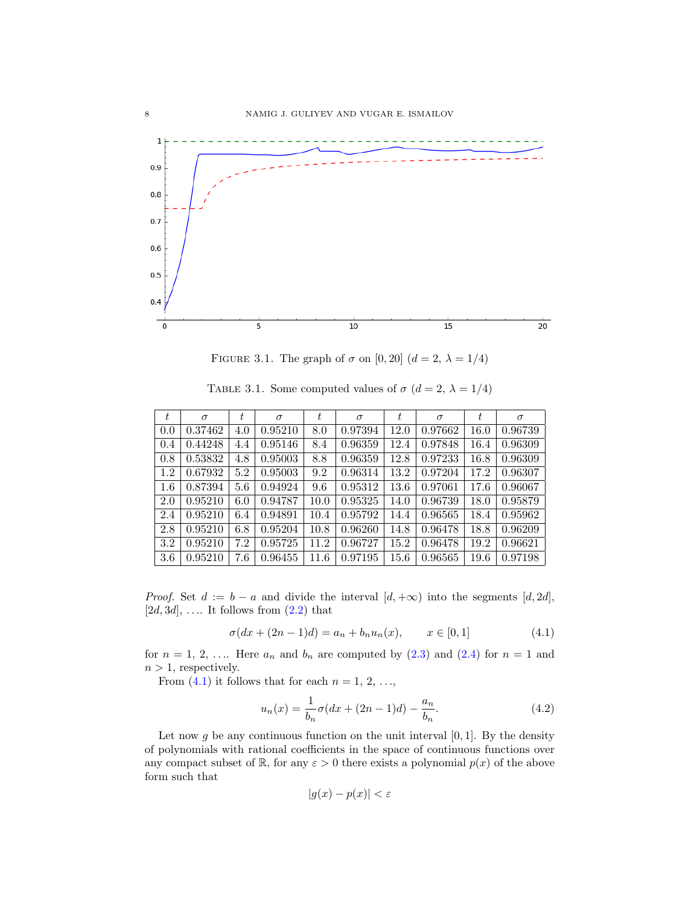

<span id="page-7-1"></span><span id="page-7-0"></span>FIGURE 3.1. The graph of  $\sigma$  on [0, 20]  $(d = 2, \lambda = 1/4)$ 

TABLE 3.1. Some computed values of  $\sigma$   $(d=2,\,\lambda=1/4)$ 

| $t\,$ | $\sigma$ | t   | $\sigma$ | $t\,$ | $\sigma$ | t.   | $\sigma$ | $t\,$    | $\sigma$ |
|-------|----------|-----|----------|-------|----------|------|----------|----------|----------|
| 0.0   | 0.37462  | 4.0 | 0.95210  | 8.0   | 0.97394  | 12.0 | 0.97662  | $16.0\,$ | 0.96739  |
| 0.4   | 0.44248  | 4.4 | 0.95146  | 8.4   | 0.96359  | 12.4 | 0.97848  | 16.4     | 0.96309  |
| 0.8   | 0.53832  | 4.8 | 0.95003  | 8.8   | 0.96359  | 12.8 | 0.97233  | 16.8     | 0.96309  |
| 1.2   | 0.67932  | 5.2 | 0.95003  | 9.2   | 0.96314  | 13.2 | 0.97204  | 17.2     | 0.96307  |
| 1.6   | 0.87394  | 5.6 | 0.94924  | 9.6   | 0.95312  | 13.6 | 0.97061  | 17.6     | 0.96067  |
| 2.0   | 0.95210  | 6.0 | 0.94787  | 10.0  | 0.95325  | 14.0 | 0.96739  | 18.0     | 0.95879  |
| 2.4   | 0.95210  | 6.4 | 0.94891  | 10.4  | 0.95792  | 14.4 | 0.96565  | 18.4     | 0.95962  |
| 2.8   | 0.95210  | 6.8 | 0.95204  | 10.8  | 0.96260  | 14.8 | 0.96478  | 18.8     | 0.96209  |
| 3.2   | 0.95210  | 7.2 | 0.95725  | 11.2  | 0.96727  | 15.2 | 0.96478  | 19.2     | 0.96621  |
| 3.6   | 0.95210  | 7.6 | 0.96455  | 11.6  | 0.97195  | 15.6 | 0.96565  | 19.6     | 0.97198  |

*Proof.* Set  $d := b - a$  and divide the interval  $[d, +\infty)$  into the segments  $[d, 2d]$ ,  $[2d, 3d], \ldots$  It follows from  $(2.2)$  that

<span id="page-7-2"></span>
$$
\sigma(dx + (2n - 1)d) = a_n + b_n u_n(x), \qquad x \in [0, 1]
$$
\n(4.1)

for  $n = 1, 2, \ldots$  Here  $a_n$  and  $b_n$  are computed by  $(2.3)$  and  $(2.4)$  for  $n = 1$  and  $n > 1$ , respectively.

From  $(4.1)$  it follows that for each  $n = 1, 2, \ldots$ ,

<span id="page-7-3"></span>
$$
u_n(x) = \frac{1}{b_n} \sigma(dx + (2n - 1)d) - \frac{a_n}{b_n}.
$$
 (4.2)

Let now g be any continuous function on the unit interval  $[0, 1]$ . By the density of polynomials with rational coefficients in the space of continuous functions over any compact subset of R, for any  $\varepsilon > 0$  there exists a polynomial  $p(x)$  of the above form such that

$$
|g(x) - p(x)| < \varepsilon
$$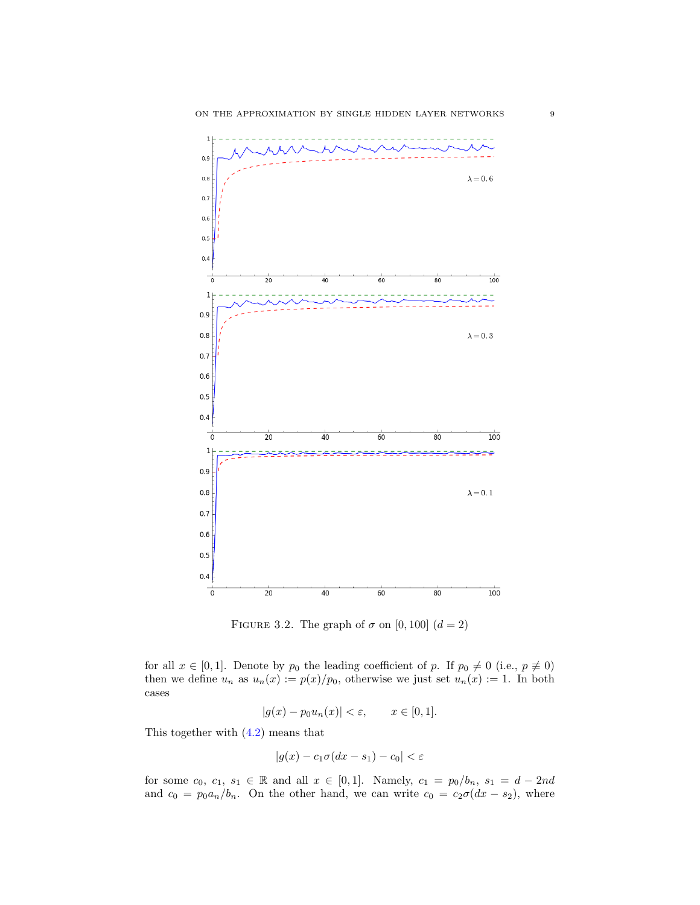

<span id="page-8-0"></span>FIGURE 3.2. The graph of  $\sigma$  on [0, 100]  $(d = 2)$ 

for all  $x \in [0,1]$ . Denote by  $p_0$  the leading coefficient of p. If  $p_0 \neq 0$  (i.e.,  $p \neq 0$ ) then we define  $u_n$  as  $u_n(x) := p(x)/p_0$ , otherwise we just set  $u_n(x) := 1$ . In both cases

$$
|g(x) - p_0 u_n(x)| < \varepsilon, \qquad x \in [0, 1].
$$

This together with [\(4.2\)](#page-7-3) means that

$$
|g(x) - c_1 \sigma(dx - s_1) - c_0| < \varepsilon
$$

for some  $c_0, c_1, s_1 \in \mathbb{R}$  and all  $x \in [0, 1]$ . Namely,  $c_1 = p_0/b_n$ ,  $s_1 = d - 2nd$ and  $c_0 = p_0 a_n/b_n$ . On the other hand, we can write  $c_0 = c_2 \sigma (dx - s_2)$ , where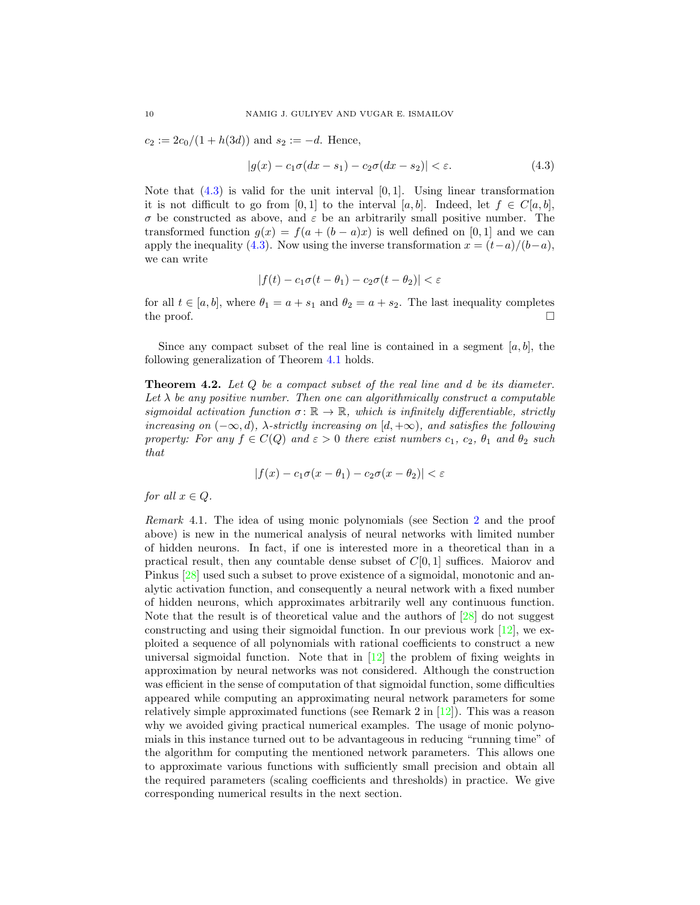$c_2 := 2c_0/(1 + h(3d))$  and  $s_2 := -d$ . Hence,

<span id="page-9-0"></span>
$$
|g(x) - c_1\sigma(dx - s_1) - c_2\sigma(dx - s_2)| < \varepsilon. \tag{4.3}
$$

Note that  $(4.3)$  is valid for the unit interval  $[0, 1]$ . Using linear transformation it is not difficult to go from [0,1] to the interval [a, b]. Indeed, let  $f \in C[a, b]$ , σ be constructed as above, and ε be an arbitrarily small positive number. The transformed function  $q(x) = f(a + (b - a)x)$  is well defined on [0, 1] and we can apply the inequality [\(4.3\)](#page-9-0). Now using the inverse transformation  $x = (t-a)/(b-a)$ , we can write

$$
|f(t) - c_1 \sigma(t - \theta_1) - c_2 \sigma(t - \theta_2)| < \varepsilon
$$

for all  $t \in [a, b]$ , where  $\theta_1 = a + s_1$  and  $\theta_2 = a + s_2$ . The last inequality completes the proof.  $\Box$ 

Since any compact subset of the real line is contained in a segment  $[a, b]$ , the following generalization of Theorem [4.1](#page-6-2) holds.

**Theorem 4.2.** Let Q be a compact subset of the real line and d be its diameter. Let  $\lambda$  be any positive number. Then one can algorithmically construct a computable sigmoidal activation function  $\sigma \colon \mathbb{R} \to \mathbb{R}$ , which is infinitely differentiable, strictly increasing on  $(-\infty, d)$ ,  $\lambda$ -strictly increasing on  $[d, +\infty)$ , and satisfies the following property: For any  $f \in C(Q)$  and  $\varepsilon > 0$  there exist numbers  $c_1, c_2, \theta_1$  and  $\theta_2$  such that

$$
|f(x) - c_1\sigma(x - \theta_1) - c_2\sigma(x - \theta_2)| < \varepsilon
$$

for all  $x \in Q$ .

Remark 4.1. The idea of using monic polynomials (see Section [2](#page-2-0) and the proof above) is new in the numerical analysis of neural networks with limited number of hidden neurons. In fact, if one is interested more in a theoretical than in a practical result, then any countable dense subset of  $C[0, 1]$  suffices. Maiorov and Pinkus [\[28\]](#page-15-21) used such a subset to prove existence of a sigmoidal, monotonic and analytic activation function, and consequently a neural network with a fixed number of hidden neurons, which approximates arbitrarily well any continuous function. Note that the result is of theoretical value and the authors of [\[28\]](#page-15-21) do not suggest constructing and using their sigmoidal function. In our previous work  $[12]$ , we exploited a sequence of all polynomials with rational coefficients to construct a new universal sigmoidal function. Note that in  $[12]$  the problem of fixing weights in approximation by neural networks was not considered. Although the construction was efficient in the sense of computation of that sigmoidal function, some difficulties appeared while computing an approximating neural network parameters for some relatively simple approximated functions (see Remark 2 in [\[12\]](#page-15-22)). This was a reason why we avoided giving practical numerical examples. The usage of monic polynomials in this instance turned out to be advantageous in reducing "running time" of the algorithm for computing the mentioned network parameters. This allows one to approximate various functions with sufficiently small precision and obtain all the required parameters (scaling coefficients and thresholds) in practice. We give corresponding numerical results in the next section.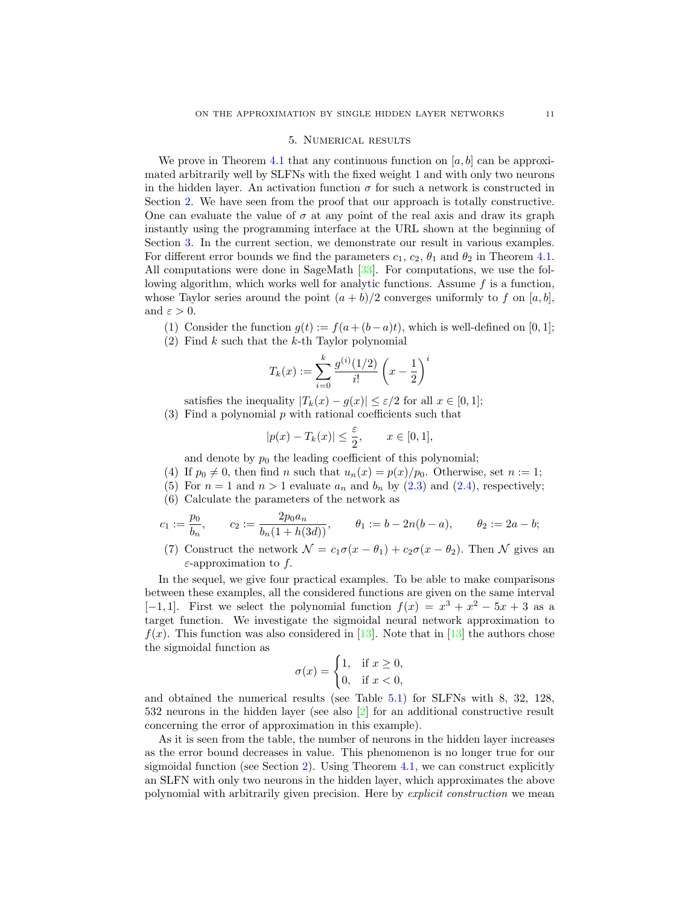#### 5. Numerical results

<span id="page-10-0"></span>We prove in Theorem [4.1](#page-6-2) that any continuous function on  $[a, b]$  can be approximated arbitrarily well by SLFNs with the fixed weight 1 and with only two neurons in the hidden layer. An activation function  $\sigma$  for such a network is constructed in Section [2.](#page-2-0) We have seen from the proof that our approach is totally constructive. One can evaluate the value of  $\sigma$  at any point of the real axis and draw its graph instantly using the programming interface at the URL shown at the beginning of Section [3.](#page-6-0) In the current section, we demonstrate our result in various examples. For different error bounds we find the parameters  $c_1$ ,  $c_2$ ,  $\theta_1$  and  $\theta_2$  in Theorem [4.1.](#page-6-2) All computations were done in SageMath [\[33\]](#page-16-1). For computations, we use the following algorithm, which works well for analytic functions. Assume  $f$  is a function, whose Taylor series around the point  $(a + b)/2$  converges uniformly to f on [a, b], and  $\varepsilon > 0$ .

(1) Consider the function  $g(t) := f(a + (b - a)t)$ , which is well-defined on [0, 1];

 $(2)$  Find k such that the k-th Taylor polynomial

$$
T_k(x) := \sum_{i=0}^k \frac{g^{(i)}(1/2)}{i!} \left(x - \frac{1}{2}\right)^i
$$

satisfies the inequality  $|T_k(x) - g(x)| \leq \varepsilon/2$  for all  $x \in [0, 1]$ ;

 $(3)$  Find a polynomial p with rational coefficients such that

$$
|p(x) - T_k(x)| \le \frac{\varepsilon}{2}, \qquad x \in [0, 1],
$$

and denote by  $p_0$  the leading coefficient of this polynomial;

- (4) If  $p_0 \neq 0$ , then find n such that  $u_n(x) = p(x)/p_0$ . Otherwise, set  $n := 1$ ;
- (5) For  $n = 1$  and  $n > 1$  evaluate  $a_n$  and  $b_n$  by [\(2.3\)](#page-4-2) and [\(2.4\)](#page-4-3), respectively;
- (6) Calculate the parameters of the network as

$$
c_1:=\frac{p_0}{b_n},\qquad c_2:=\frac{2p_0a_n}{b_n(1+h(3d))},\qquad \theta_1:=b-2n(b-a),\qquad \theta_2:=2a-b;
$$

(7) Construct the network  $\mathcal{N} = c_1 \sigma(x - \theta_1) + c_2 \sigma(x - \theta_2)$ . Then  $\mathcal N$  gives an  $\varepsilon$ -approximation to f.

In the sequel, we give four practical examples. To be able to make comparisons between these examples, all the considered functions are given on the same interval [-1,1]. First we select the polynomial function  $f(x) = x^3 + x^2 - 5x + 3$  as a target function. We investigate the sigmoidal neural network approximation to  $f(x)$ . This function was also considered in [\[13\]](#page-15-10). Note that in [13] the authors chose the sigmoidal function as

$$
\sigma(x) = \begin{cases} 1, & \text{if } x \ge 0, \\ 0, & \text{if } x < 0, \end{cases}
$$

and obtained the numerical results (see Table [5.1\)](#page-11-1) for SLFNs with 8, 32, 128, 532 neurons in the hidden layer (see also [\[2\]](#page-14-3) for an additional constructive result concerning the error of approximation in this example).

As it is seen from the table, the number of neurons in the hidden layer increases as the error bound decreases in value. This phenomenon is no longer true for our sigmoidal function (see Section [2\)](#page-2-0). Using Theorem [4.1,](#page-6-2) we can construct explicitly an SLFN with only two neurons in the hidden layer, which approximates the above polynomial with arbitrarily given precision. Here by explicit construction we mean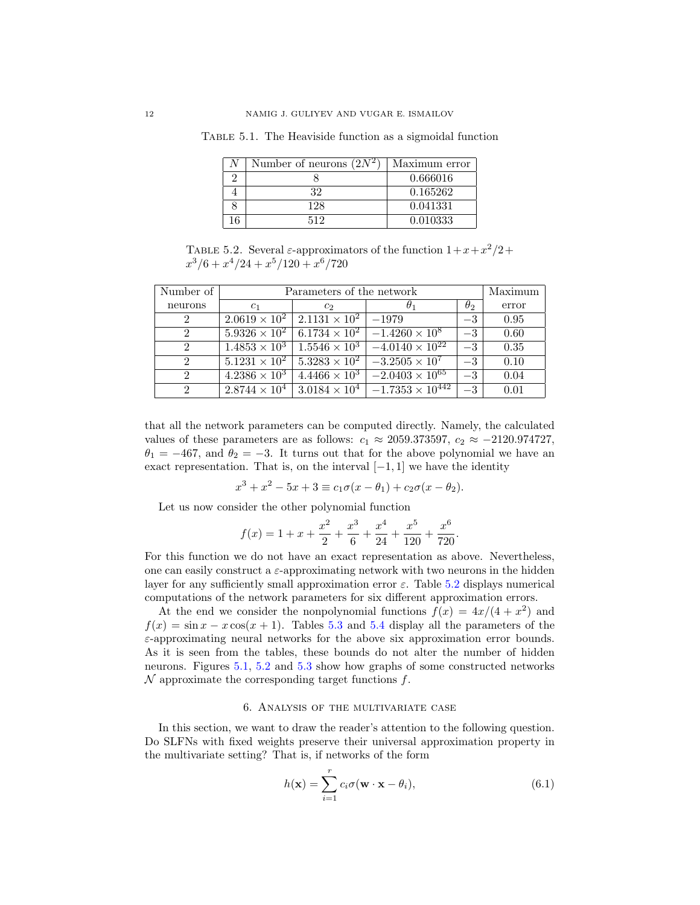<span id="page-11-1"></span>

| Number of neurons $\sqrt{2N^2}$ | Maximum error |
|---------------------------------|---------------|
|                                 | 0.666016      |
| 32                              | 0.165262      |
| 128                             | 0.041331      |
|                                 | 0.010333      |

Table 5.1. The Heaviside function as a sigmoidal function

<span id="page-11-2"></span>TABLE 5.2. Several  $\varepsilon$ -approximators of the function  $1+x+x^2/2+$  $x^3/6 + x^4/24 + x^5/120 + x^6/720$ 

| Number of      | Parameters of the network | Maximum                |                                     |            |       |
|----------------|---------------------------|------------------------|-------------------------------------|------------|-------|
| neurons        | c <sub>1</sub>            | $c_2$                  |                                     | $\theta_2$ | error |
| 2              | $2.0619 \times 10^{2}$    | $2.1131 \times 10^{2}$ | $-1979$                             | $-3$       | 0.95  |
| 2              | $5.9326 \times 10^{2}$    | $6.1734 \times 10^{2}$ | $-1.4260 \times 10^8$               | $-3$       | 0.60  |
| 2              | $1.4853 \times 10^{3}$    | $1.5546 \times 10^{3}$ | $-4.0140 \times 10^{22}$            | $-3$       | 0.35  |
| $\mathfrak{D}$ | $5.1231 \times 10^{2}$    | $5.3283 \times 10^{2}$ | $-3.2505 \times 10^{7}$             | $-3$       | 0.10  |
| $\overline{2}$ | $4.2386 \times 10^3$      | $4.4466 \times 10^3$   | $-2.\overline{0403 \times 10^{65}}$ | $-3$       | 0.04  |
| $\overline{2}$ | $2.8744 \times 10^{4}$    | $3.0184 \times 10^{4}$ | $-1.7353 \times 10^{442}$           | $-3$       | 0.01  |

that all the network parameters can be computed directly. Namely, the calculated values of these parameters are as follows:  $c_1 \approx 2059.373597$ ,  $c_2 \approx -2120.974727$ ,  $\theta_1 = -467$ , and  $\theta_2 = -3$ . It turns out that for the above polynomial we have an exact representation. That is, on the interval  $[-1, 1]$  we have the identity

$$
x^{3} + x^{2} - 5x + 3 \equiv c_{1}\sigma(x - \theta_{1}) + c_{2}\sigma(x - \theta_{2}).
$$

Let us now consider the other polynomial function

$$
f(x) = 1 + x + \frac{x^2}{2} + \frac{x^3}{6} + \frac{x^4}{24} + \frac{x^5}{120} + \frac{x^6}{720}.
$$

For this function we do not have an exact representation as above. Nevertheless, one can easily construct a  $\varepsilon$ -approximating network with two neurons in the hidden layer for any sufficiently small approximation error  $\varepsilon$ . Table [5.2](#page-11-2) displays numerical computations of the network parameters for six different approximation errors.

At the end we consider the nonpolynomial functions  $f(x) = 4x/(4 + x^2)$  and  $f(x) = \sin x - x \cos(x + 1)$ . Tables [5.3](#page-12-0) and [5.4](#page-12-1) display all the parameters of the  $\varepsilon$ -approximating neural networks for the above six approximation error bounds. As it is seen from the tables, these bounds do not alter the number of hidden neurons. Figures [5.1,](#page-12-2) [5.2](#page-13-0) and [5.3](#page-13-1) show how graphs of some constructed networks  $\mathcal N$  approximate the corresponding target functions  $f$ .

#### 6. Analysis of the multivariate case

<span id="page-11-0"></span>In this section, we want to draw the reader's attention to the following question. Do SLFNs with fixed weights preserve their universal approximation property in the multivariate setting? That is, if networks of the form

<span id="page-11-3"></span>
$$
h(\mathbf{x}) = \sum_{i=1}^{r} c_i \sigma(\mathbf{w} \cdot \mathbf{x} - \theta_i),
$$
\n(6.1)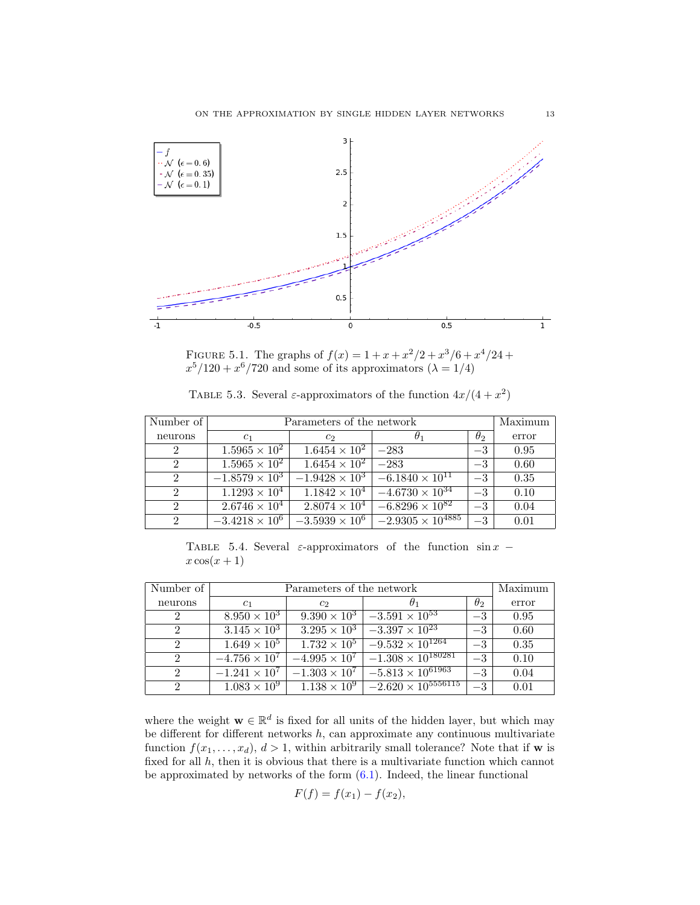

<span id="page-12-2"></span>FIGURE 5.1. The graphs of  $f(x) = 1 + x + x^2/2 + x^3/6 + x^4/24 +$  $x^5/120 + x^6/720$  and some of its approximators  $(\lambda = 1/4)$ 

<span id="page-12-0"></span>TABLE 5.3. Several  $\varepsilon$ -approximators of the function  $4x/(4+x^2)$ 

| Number of                   | Parameters of the network | Maximum                       |                                                |            |       |
|-----------------------------|---------------------------|-------------------------------|------------------------------------------------|------------|-------|
| neurons                     | c <sub>1</sub>            | $c_{2}$                       | $\theta_1$                                     | $\theta_2$ | error |
| 2                           | $1.5965 \times 10^{2}$    | $1.6454 \times 10^2$   $-283$ |                                                | $-3$       | 0.95  |
| $2^{\circ}$                 | $1.5965 \times 10^{2}$    | $1.6454 \times 10^{2}$ -283   |                                                | $-3$       | 0.60  |
| $\mathcal{D}$               | $-1.8579 \times 10^{3}$   |                               | $-1.9428 \times 10^3$ $-6.1840 \times 10^{11}$ | $-3$       | 0.35  |
| $\mathcal{D}_{\mathcal{L}}$ | $1.1293 \times 10^{4}$    |                               | $1.1842 \times 10^4$ $-4.6730 \times 10^{34}$  | $-3$       | 0.10  |
| $2^{\circ}$                 | $2.6746 \times 10^{4}$    | $2.8074 \times 10^{4}$        | $-6.8296 \times 10^{82}$                       | $-3$       | 0.04  |
| $2^{\circ}$                 | $-3.4218 \times 10^6$     | $-3.5939 \times 10^6$         | $\vert -2.9305\times 10^{4885} \vert$          | $-3$       | 0.01  |

<span id="page-12-1"></span>TABLE 5.4. Several  $\varepsilon$ -approximators of the function sin  $x$  −  $x \cos(x+1)$ 

| Number of                   | Parameters of the network | Maximum                |                              |                  |       |
|-----------------------------|---------------------------|------------------------|------------------------------|------------------|-------|
| neurons                     | c <sub>1</sub>            | $c_2$                  |                              | $\theta_2$       | error |
| $\overline{2}$              | $8.950 \times 10^{3}$     | $9.390 \times 10^{3}$  | $-3.591 \times 10^{53}$      | $-3$             | 0.95  |
| $\mathcal{D}_{\mathcal{L}}$ | $3.145 \times 10^3$       | $3.295 \times 10^3$    | $-3.397 \times 10^{23}$      | $-3$             | 0.60  |
| $\mathcal{D}_{\mathcal{L}}$ | $1.649 \times 10^{5}$     | $1.732 \times 10^{5}$  | $-9.532 \times 10^{1264}$    | $-3$             | 0.35  |
| $\mathcal{D}_{\mathcal{L}}$ | $-4.756 \times 10^7$      | $-4.995 \times 10^{7}$ | $-1.308 \times 10^{180281}$  | $-3$             | 0.10  |
| $\mathcal{D}_{\mathcal{L}}$ | $-1.241 \times 10^{7}$    | $-1.303 \times 10^{7}$ | $-5.813 \times 10^{61963}$   | $-3$             | 0.04  |
| $\mathcal{D}_{\mathcal{L}}$ | $1.083 \times 10^{9}$     | $1.138 \times 10^{9}$  | $-2.620 \times 10^{5556115}$ | $-3\phantom{.0}$ | 0.01  |

where the weight  $\mathbf{w} \in \mathbb{R}^d$  is fixed for all units of the hidden layer, but which may be different for different networks  $h$ , can approximate any continuous multivariate function  $f(x_1, \ldots, x_d)$ ,  $d > 1$ , within arbitrarily small tolerance? Note that if **w** is fixed for all  $h$ , then it is obvious that there is a multivariate function which cannot be approximated by networks of the form  $(6.1)$ . Indeed, the linear functional

$$
F(f) = f(x_1) - f(x_2),
$$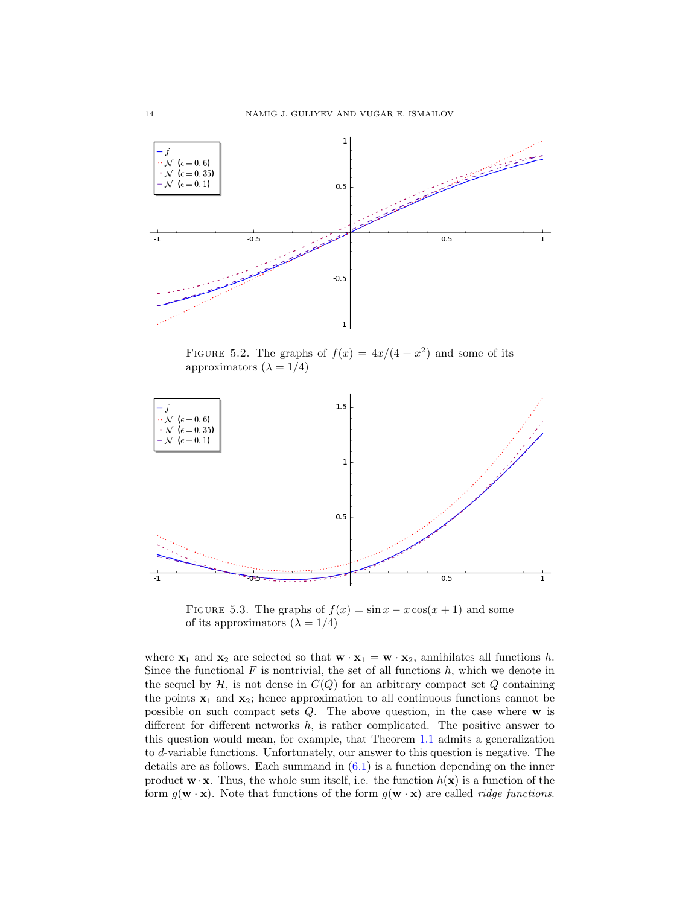

<span id="page-13-0"></span>FIGURE 5.2. The graphs of  $f(x) = 4x/(4+x^2)$  and some of its approximators  $(\lambda = 1/4)$ 



<span id="page-13-1"></span>FIGURE 5.3. The graphs of  $f(x) = \sin x - x \cos(x+1)$  and some of its approximators  $(\lambda = 1/4)$ 

where  $\mathbf{x}_1$  and  $\mathbf{x}_2$  are selected so that  $\mathbf{w} \cdot \mathbf{x}_1 = \mathbf{w} \cdot \mathbf{x}_2$ , annihilates all functions h. Since the functional  $F$  is nontrivial, the set of all functions  $h$ , which we denote in the sequel by  $H$ , is not dense in  $C(Q)$  for an arbitrary compact set Q containing the points  $x_1$  and  $x_2$ ; hence approximation to all continuous functions cannot be possible on such compact sets  $Q$ . The above question, in the case where  $w$  is different for different networks  $h$ , is rather complicated. The positive answer to this question would mean, for example, that Theorem [1.1](#page-1-1) admits a generalization to d-variable functions. Unfortunately, our answer to this question is negative. The details are as follows. Each summand in  $(6.1)$  is a function depending on the inner product  $\mathbf{w} \cdot \mathbf{x}$ . Thus, the whole sum itself, i.e. the function  $h(\mathbf{x})$  is a function of the form  $g(\mathbf{w} \cdot \mathbf{x})$ . Note that functions of the form  $g(\mathbf{w} \cdot \mathbf{x})$  are called *ridge functions*.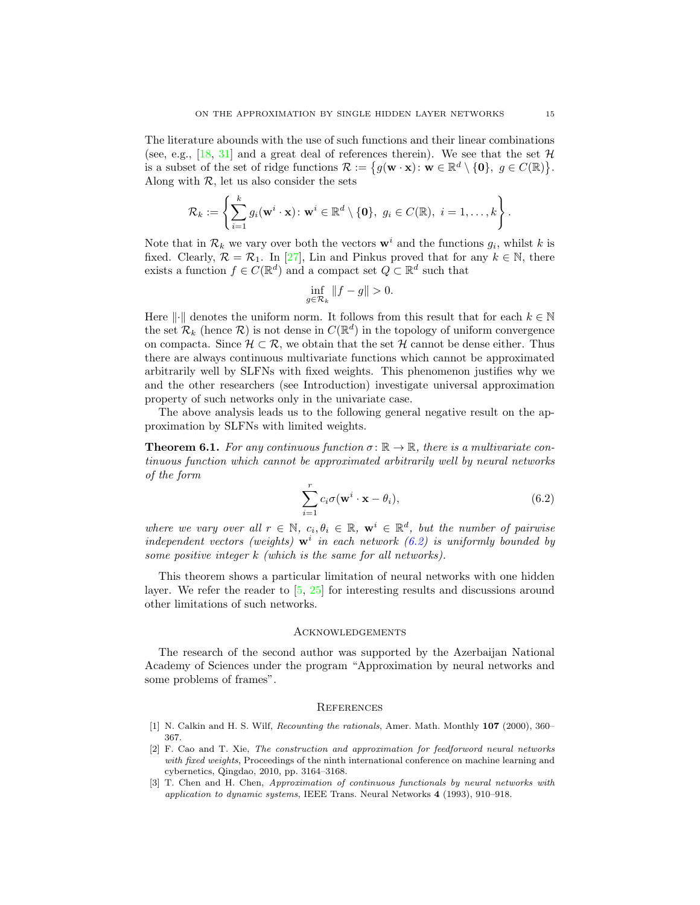The literature abounds with the use of such functions and their linear combinations (see, e.g., [\[18,](#page-15-23) [31\]](#page-15-24) and a great deal of references therein). We see that the set  $\mathcal{H}$ is a subset of the set of ridge functions  $\mathcal{R} := \{ g(\mathbf{w} \cdot \mathbf{x}) : \mathbf{w} \in \mathbb{R}^d \setminus \{\mathbf{0}\}, g \in C(\mathbb{R}) \}.$ Along with  $\mathcal{R}$ , let us also consider the sets

$$
\mathcal{R}_k:=\left\{\sum_{i=1}^k g_i(\mathbf{w}^i\cdot\mathbf{x})\colon \mathbf{w}^i\in\mathbb{R}^d\setminus\{\mathbf{0}\},\; g_i\in C(\mathbb{R}),\; i=1,\ldots,k\right\}.
$$

Note that in  $\mathcal{R}_k$  we vary over both the vectors  $\mathbf{w}^i$  and the functions  $g_i$ , whilst k is fixed. Clearly,  $\mathcal{R} = \mathcal{R}_1$ . In [\[27\]](#page-15-25), Lin and Pinkus proved that for any  $k \in \mathbb{N}$ , there exists a function  $f \in C(\mathbb{R}^d)$  and a compact set  $Q \subset \mathbb{R}^d$  such that

$$
\inf_{g \in \mathcal{R}_k} \|f - g\| > 0.
$$

Here  $\lVert \cdot \rVert$  denotes the uniform norm. It follows from this result that for each  $k \in \mathbb{N}$ the set  $\mathcal{R}_k$  (hence  $\mathcal{R}$ ) is not dense in  $C(\mathbb{R}^d)$  in the topology of uniform convergence on compacta. Since  $\mathcal{H} \subset \mathcal{R}$ , we obtain that the set  $\mathcal{H}$  cannot be dense either. Thus there are always continuous multivariate functions which cannot be approximated arbitrarily well by SLFNs with fixed weights. This phenomenon justifies why we and the other researchers (see Introduction) investigate universal approximation property of such networks only in the univariate case.

The above analysis leads us to the following general negative result on the approximation by SLFNs with limited weights.

**Theorem 6.1.** For any continuous function  $\sigma : \mathbb{R} \to \mathbb{R}$ , there is a multivariate continuous function which cannot be approximated arbitrarily well by neural networks of the form

<span id="page-14-5"></span>
$$
\sum_{i=1}^{r} c_i \sigma(\mathbf{w}^i \cdot \mathbf{x} - \theta_i),
$$
\n(6.2)

where we vary over all  $r \in \mathbb{N}$ ,  $c_i, \theta_i \in \mathbb{R}$ ,  $\mathbf{w}^i \in \mathbb{R}^d$ , but the number of pairwise independent vectors (weights)  $\mathbf{w}^i$  in each network [\(6.2\)](#page-14-5) is uniformly bounded by some positive integer k (which is the same for all networks).

This theorem shows a particular limitation of neural networks with one hidden layer. We refer the reader to [\[5,](#page-15-26) [25\]](#page-15-27) for interesting results and discussions around other limitations of such networks.

#### <span id="page-14-0"></span>**ACKNOWLEDGEMENTS**

The research of the second author was supported by the Azerbaijan National Academy of Sciences under the program "Approximation by neural networks and some problems of frames".

### <span id="page-14-1"></span>**REFERENCES**

- <span id="page-14-4"></span>[1] N. Calkin and H. S. Wilf, Recounting the rationals, Amer. Math. Monthly 107 (2000), 360– 367.
- <span id="page-14-3"></span>[2] F. Cao and T. Xie, The construction and approximation for feedforword neural networks with fixed weights, Proceedings of the ninth international conference on machine learning and cybernetics, Qingdao, 2010, pp. 3164–3168.
- <span id="page-14-2"></span>[3] T. Chen and H. Chen, Approximation of continuous functionals by neural networks with application to dynamic systems, IEEE Trans. Neural Networks 4 (1993), 910–918.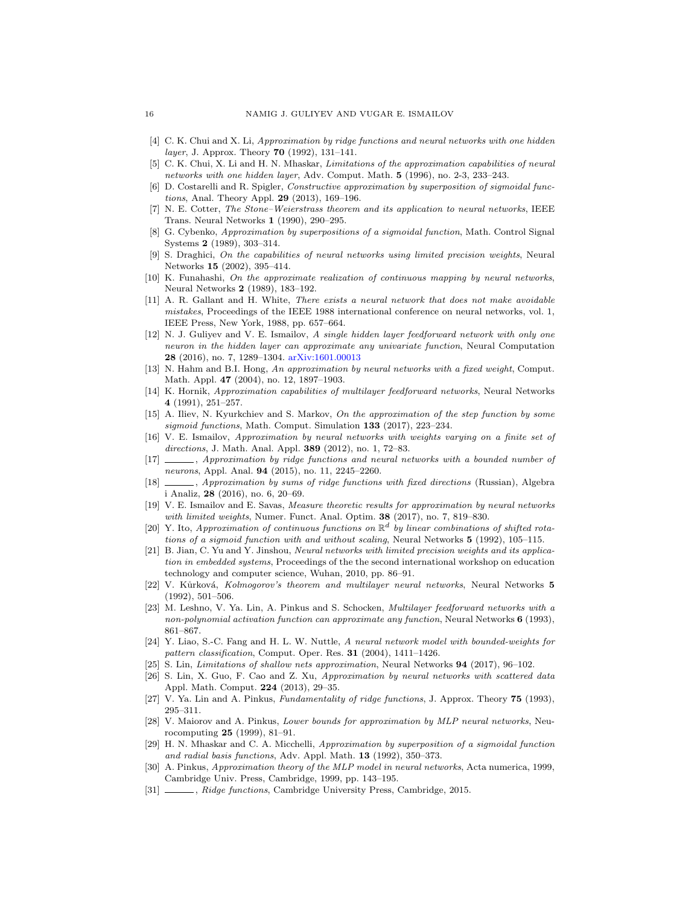- <span id="page-15-0"></span>[4] C. K. Chui and X. Li, Approximation by ridge functions and neural networks with one hidden layer, J. Approx. Theory **70** (1992), 131-141.
- <span id="page-15-26"></span>[5] C. K. Chui, X. Li and H. N. Mhaskar, Limitations of the approximation capabilities of neural networks with one hidden layer, Adv. Comput. Math.  $5$  (1996), no. 2-3, 233–243.
- <span id="page-15-1"></span>[6] D. Costarelli and R. Spigler, Constructive approximation by superposition of sigmoidal functions, Anal. Theory Appl. 29 (2013), 169–196.
- <span id="page-15-2"></span>[7] N. E. Cotter, The Stone–Weierstrass theorem and its application to neural networks, IEEE Trans. Neural Networks 1 (1990), 290–295.
- <span id="page-15-3"></span>[8] G. Cybenko, Approximation by superpositions of a sigmoidal function, Math. Control Signal Systems 2 (1989), 303–314.
- <span id="page-15-14"></span>[9] S. Draghici, On the capabilities of neural networks using limited precision weights, Neural Networks 15 (2002), 395–414.
- <span id="page-15-4"></span>[10] K. Funahashi, On the approximate realization of continuous mapping by neural networks, Neural Networks 2 (1989), 183–192.
- <span id="page-15-5"></span>[11] A. R. Gallant and H. White, There exists a neural network that does not make avoidable mistakes, Proceedings of the IEEE 1988 international conference on neural networks, vol. 1, IEEE Press, New York, 1988, pp. 657–664.
- <span id="page-15-22"></span>[12] N. J. Guliyev and V. E. Ismailov, A single hidden layer feedforward network with only one neuron in the hidden layer can approximate any univariate function, Neural Computation 28 (2016), no. 7, 1289–1304. [arXiv:1601.00013](https://arxiv.org/abs/1601.00013)
- <span id="page-15-10"></span>[13] N. Hahm and B.I. Hong, An approximation by neural networks with a fixed weight, Comput. Math. Appl. 47 (2004), no. 12, 1897–1903.
- <span id="page-15-6"></span>[14] K. Hornik, Approximation capabilities of multilayer feedforward networks, Neural Networks 4 (1991), 251–257.
- <span id="page-15-11"></span>[15] A. Iliev, N. Kyurkchiev and S. Markov, On the approximation of the step function by some sigmoid functions, Math. Comput. Simulation 133 (2017), 223–234.
- <span id="page-15-15"></span>[16] V. E. Ismailov, Approximation by neural networks with weights varying on a finite set of directions, J. Math. Anal. Appl. 389 (2012), no. 1, 72–83.
- <span id="page-15-16"></span>[17] , Approximation by ridge functions and neural networks with a bounded number of neurons, Appl. Anal. 94 (2015), no. 11, 2245–2260.
- <span id="page-15-23"></span>[18] , Approximation by sums of ridge functions with fixed directions (Russian), Algebra i Analiz, 28 (2016), no. 6, 20–69.
- <span id="page-15-17"></span>[19] V. E. Ismailov and E. Savas, Measure theoretic results for approximation by neural networks with limited weights, Numer. Funct. Anal. Optim. 38 (2017), no. 7, 819-830.
- <span id="page-15-12"></span>[20] Y. Ito, Approximation of continuous functions on  $\mathbb{R}^d$  by linear combinations of shifted rotations of a sigmoid function with and without scaling, Neural Networks 5 (1992), 105–115.
- <span id="page-15-18"></span>[21] B. Jian, C. Yu and Y. Jinshou, Neural networks with limited precision weights and its application in embedded systems, Proceedings of the the second international workshop on education technology and computer science, Wuhan, 2010, pp. 86–91.
- <span id="page-15-13"></span>[22] V. Kůrková, Kolmogorov's theorem and multilayer neural networks, Neural Networks 5 (1992), 501–506.
- <span id="page-15-8"></span>[23] M. Leshno, V. Ya. Lin, A. Pinkus and S. Schocken, Multilayer feedforward networks with a non-polynomial activation function can approximate any function. Neural Networks 6 (1993), 861–867.
- <span id="page-15-19"></span>[24] Y. Liao, S.-C. Fang and H. L. W. Nuttle, A neural network model with bounded-weights for pattern classification, Comput. Oper. Res. 31 (2004), 1411–1426.
- <span id="page-15-27"></span>[25] S. Lin, Limitations of shallow nets approximation, Neural Networks  $94$  (2017), 96-102.
- <span id="page-15-20"></span>[26] S. Lin, X. Guo, F. Cao and Z. Xu, Approximation by neural networks with scattered data Appl. Math. Comput. 224 (2013), 29–35.
- <span id="page-15-25"></span>[27] V. Ya. Lin and A. Pinkus, Fundamentality of ridge functions, J. Approx. Theory 75 (1993), 295–311.
- <span id="page-15-21"></span>[28] V. Maiorov and A. Pinkus, *Lower bounds for approximation by MLP neural networks*, Neurocomputing 25 (1999), 81–91.
- <span id="page-15-7"></span>[29] H. N. Mhaskar and C. A. Micchelli, Approximation by superposition of a sigmoidal function and radial basis functions, Adv. Appl. Math. 13 (1992), 350–373.
- <span id="page-15-9"></span>[30] A. Pinkus, Approximation theory of the MLP model in neural networks, Acta numerica, 1999, Cambridge Univ. Press, Cambridge, 1999, pp. 143–195.
- <span id="page-15-24"></span>[31] , Ridge functions, Cambridge University Press, Cambridge, 2015.